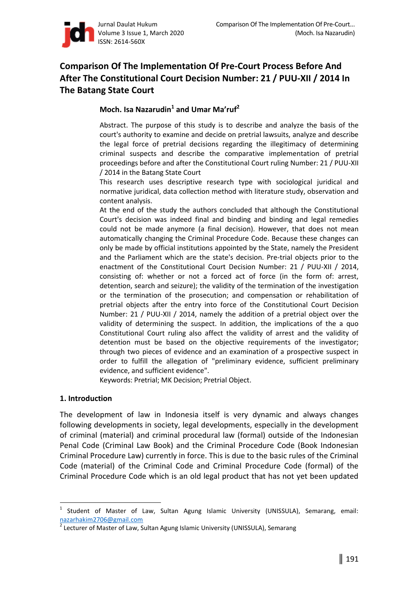

# **Comparison Of The Implementation Of Pre-Court Process Before And After The Constitutional Court Decision Number: 21 / PUU-XII / 2014 In The Batang State Court**

## **Moch. Isa Nazarudin<sup>1</sup> and Umar Ma[ruf<sup>2</sup>**

Abstract. The purpose of this study is to describe and analyze the basis of the court's authority to examine and decide on pretrial lawsuits, analyze and describe the legal force of pretrial decisions regarding the illegitimacy of determining criminal suspects and describe the comparative implementation of pretrial proceedings before and after the Constitutional Court ruling Number: 21 / PUU-XII / 2014 in the Batang State Court

This research uses descriptive research type with sociological juridical and normative juridical, data collection method with literature study, observation and content analysis.

At the end of the study the authors concluded that although the Constitutional Court's decision was indeed final and binding and binding and legal remedies could not be made anymore (a final decision). However, that does not mean automatically changing the Criminal Procedure Code. Because these changes can only be made by official institutions appointed by the State, namely the President and the Parliament which are the state's decision. Pre-trial objects prior to the enactment of the Constitutional Court Decision Number: 21 / PUU-XII / 2014, consisting of: whether or not a forced act of force (in the form of: arrest, detention, search and seizure); the validity of the termination of the investigation or the termination of the prosecution; and compensation or rehabilitation of pretrial objects after the entry into force of the Constitutional Court Decision Number: 21 / PUU-XII / 2014, namely the addition of a pretrial object over the validity of determining the suspect. In addition, the implications of the a quo Constitutional Court ruling also affect the validity of arrest and the validity of detention must be based on the objective requirements of the investigator; through two pieces of evidence and an examination of a prospective suspect in order to fulfill the allegation of "preliminary evidence, sufficient preliminary evidence, and sufficient evidence".

Keywords: Pretrial; MK Decision; Pretrial Object.

### **1. Introduction**

l

The development of law in Indonesia itself is very dynamic and always changes following developments in society, legal developments, especially in the development of criminal (material) and criminal procedural law (formal) outside of the Indonesian Penal Code (Criminal Law Book) and the Criminal Procedure Code (Book Indonesian Criminal Procedure Law) currently in force. This is due to the basic rules of the Criminal Code (material) of the Criminal Code and Criminal Procedure Code (formal) of the Criminal Procedure Code which is an old legal product that has not yet been updated

<sup>&</sup>lt;sup>1</sup> Student of Master of Law, Sultan Agung Islamic University (UNISSULA), Semarang, email: nazarhakim2706@gmail.com

<sup>2</sup> Lecturer of Master of Law, Sultan Agung Islamic University (UNISSULA), Semarang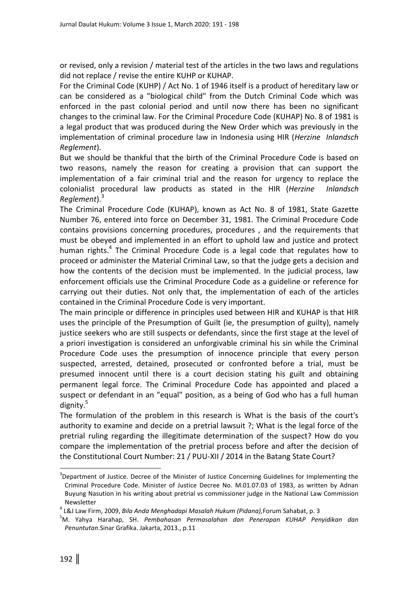or revised, only a revision / material test of the articles in the two laws and regulations did not replace / revise the entire KUHP or KUHAP.

For the Criminal Code (KUHP) / Act No. 1 of 1946 itself is a product of hereditary law or can be considered as a "biological child" from the Dutch Criminal Code which was enforced in the past colonial period and until now there has been no significant changes to the criminal law. For the Criminal Procedure Code (KUHAP) No. 8 of 1981 is a legal product that was produced during the New Order which was previously in the implementation of criminal procedure law in Indonesia using HIR (*Herzine Inlandsch Reglement*).

But we should be thankful that the birth of the Criminal Procedure Code is based on two reasons, namely the reason for creating a provision that can support the implementation of a fair criminal trial and the reason for urgency to replace the colonialist procedural law products as stated in the HIR (*Herzine Inlandsch Reglement*).<sup>3</sup>

The Criminal Procedure Code (KUHAP), known as Act No. 8 of 1981, State Gazette Number 76, entered into force on December 31, 1981. The Criminal Procedure Code contains provisions concerning procedures, procedures , and the requirements that must be obeyed and implemented in an effort to uphold law and justice and protect human rights.<sup>4</sup> The Criminal Procedure Code is a legal code that regulates how to proceed or administer the Material Criminal Law, so that the judge gets a decision and how the contents of the decision must be implemented. In the judicial process, law enforcement officials use the Criminal Procedure Code as a guideline or reference for carrying out their duties. Not only that, the implementation of each of the articles contained in the Criminal Procedure Code is very important.

The main principle or difference in principles used between HIR and KUHAP is that HIR uses the principle of the Presumption of Guilt (ie, the presumption of guilty), namely justice seekers who are still suspects or defendants, since the first stage at the level of a priori investigation is considered an unforgivable criminal his sin while the Criminal Procedure Code uses the presumption of innocence principle that every person suspected, arrested, detained, prosecuted or confronted before a trial, must be presumed innocent until there is a court decision stating his guilt and obtaining permanent legal force. The Criminal Procedure Code has appointed and placed a suspect or defendant in an "equal" position, as a being of God who has a full human dignity.<sup>5</sup>

The formulation of the problem in this research is What is the basis of the court's authority to examine and decide on a pretrial lawsuit ?; What is the legal force of the pretrial ruling regarding the illegitimate determination of the suspect? How do you compare the implementation of the pretrial process before and after the decision of the Constitutional Court Number: 21 / PUU-XII / 2014 in the Batang State Court?

 $\overline{\phantom{0}}$ 

<sup>&</sup>lt;sup>3</sup>Department of Justice. Decree of the Minister of Justice Concerning Guidelines for Implementing the Criminal Procedure Code. Minister of Justice Decree No. M.01.07.03 of 1983, as written by Adnan Buyung Nasution in his writing about pretrial vs commissioner judge in the National Law Commission Newsletter

<sup>4</sup> L&J Law Firm, 2009, *Bila Anda Menghadapi Masalah Hukum (Pidana),*Forum Sahabat, p. 3

<sup>5</sup>M. Yahya Harahap, SH. *Pembahasan Permasalahan dan Penerapan KUHAP Penyidikan dan Penuntutan*.Sinar Grafika. Jakarta, 2013., p.11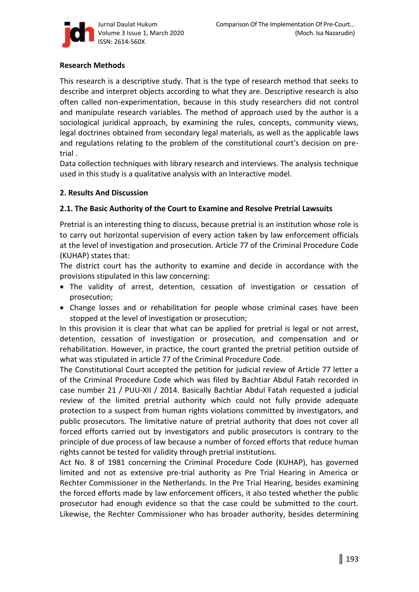

### **Research Methods**

This research is a descriptive study. That is the type of research method that seeks to describe and interpret objects according to what they are. Descriptive research is also often called non-experimentation, because in this study researchers did not control and manipulate research variables. The method of approach used by the author is a sociological juridical approach, by examining the rules, concepts, community views, legal doctrines obtained from secondary legal materials, as well as the applicable laws and regulations relating to the problem of the constitutional court's decision on pretrial .

Data collection techniques with library research and interviews. The analysis technique used in this study is a qualitative analysis with an Interactive model.

### **2. Results And Discussion**

### **2.1. The Basic Authority of the Court to Examine and Resolve Pretrial Lawsuits**

Pretrial is an interesting thing to discuss, because pretrial is an institution whose role is to carry out horizontal supervision of every action taken by law enforcement officials at the level of investigation and prosecution. Article 77 of the Criminal Procedure Code (KUHAP) states that:

The district court has the authority to examine and decide in accordance with the provisions stipulated in this law concerning:

- The validity of arrest, detention, cessation of investigation or cessation of prosecution;
- Change losses and or rehabilitation for people whose criminal cases have been stopped at the level of investigation or prosecution;

In this provision it is clear that what can be applied for pretrial is legal or not arrest, detention, cessation of investigation or prosecution, and compensation and or rehabilitation. However, in practice, the court granted the pretrial petition outside of what was stipulated in article 77 of the Criminal Procedure Code.

The Constitutional Court accepted the petition for judicial review of Article 77 letter a of the Criminal Procedure Code which was filed by Bachtiar Abdul Fatah recorded in case number 21 / PUU-XII / 2014. Basically Bachtiar Abdul Fatah requested a judicial review of the limited pretrial authority which could not fully provide adequate protection to a suspect from human rights violations committed by investigators, and public prosecutors. The limitative nature of pretrial authority that does not cover all forced efforts carried out by investigators and public prosecutors is contrary to the principle of due process of law because a number of forced efforts that reduce human rights cannot be tested for validity through pretrial institutions.

Act No. 8 of 1981 concerning the Criminal Procedure Code (KUHAP), has governed limited and not as extensive pre-trial authority as Pre Trial Hearing in America or Rechter Commissioner in the Netherlands. In the Pre Trial Hearing, besides examining the forced efforts made by law enforcement officers, it also tested whether the public prosecutor had enough evidence so that the case could be submitted to the court. Likewise, the Rechter Commissioner who has broader authority, besides determining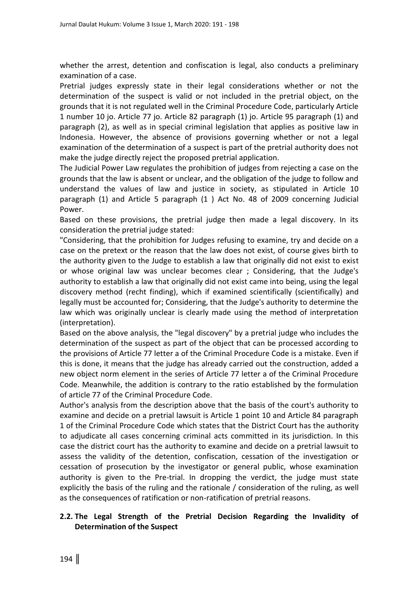whether the arrest, detention and confiscation is legal, also conducts a preliminary examination of a case.

Pretrial judges expressly state in their legal considerations whether or not the determination of the suspect is valid or not included in the pretrial object, on the grounds that it is not regulated well in the Criminal Procedure Code, particularly Article 1 number 10 jo. Article 77 jo. Article 82 paragraph (1) jo. Article 95 paragraph (1) and paragraph (2), as well as in special criminal legislation that applies as positive law in Indonesia. However, the absence of provisions governing whether or not a legal examination of the determination of a suspect is part of the pretrial authority does not make the judge directly reject the proposed pretrial application.

The Judicial Power Law regulates the prohibition of judges from rejecting a case on the grounds that the law is absent or unclear, and the obligation of the judge to follow and understand the values of law and justice in society, as stipulated in Article 10 paragraph (1) and Article 5 paragraph (1 ) Act No. 48 of 2009 concerning Judicial Power.

Based on these provisions, the pretrial judge then made a legal discovery. In its consideration the pretrial judge stated:

"Considering, that the prohibition for Judges refusing to examine, try and decide on a case on the pretext or the reason that the law does not exist, of course gives birth to the authority given to the Judge to establish a law that originally did not exist to exist or whose original law was unclear becomes clear ; Considering, that the Judge's authority to establish a law that originally did not exist came into being, using the legal discovery method (recht finding), which if examined scientifically (scientifically) and legally must be accounted for; Considering, that the Judge's authority to determine the law which was originally unclear is clearly made using the method of interpretation (interpretation).

Based on the above analysis, the "legal discovery" by a pretrial judge who includes the determination of the suspect as part of the object that can be processed according to the provisions of Article 77 letter a of the Criminal Procedure Code is a mistake. Even if this is done, it means that the judge has already carried out the construction, added a new object norm element in the series of Article 77 letter a of the Criminal Procedure Code. Meanwhile, the addition is contrary to the ratio established by the formulation of article 77 of the Criminal Procedure Code.

Author's analysis from the description above that the basis of the court's authority to examine and decide on a pretrial lawsuit is Article 1 point 10 and Article 84 paragraph 1 of the Criminal Procedure Code which states that the District Court has the authority to adjudicate all cases concerning criminal acts committed in its jurisdiction. In this case the district court has the authority to examine and decide on a pretrial lawsuit to assess the validity of the detention, confiscation, cessation of the investigation or cessation of prosecution by the investigator or general public, whose examination authority is given to the Pre-trial. In dropping the verdict, the judge must state explicitly the basis of the ruling and the rationale / consideration of the ruling, as well as the consequences of ratification or non-ratification of pretrial reasons.

### **2.2. The Legal Strength of the Pretrial Decision Regarding the Invalidity of Determination of the Suspect**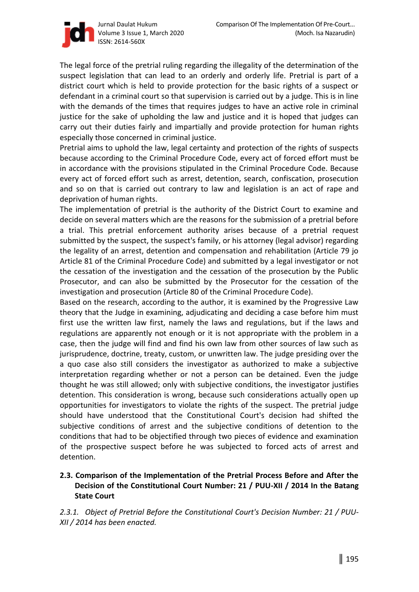

The legal force of the pretrial ruling regarding the illegality of the determination of the suspect legislation that can lead to an orderly and orderly life. Pretrial is part of a district court which is held to provide protection for the basic rights of a suspect or defendant in a criminal court so that supervision is carried out by a judge. This is in line with the demands of the times that requires judges to have an active role in criminal justice for the sake of upholding the law and justice and it is hoped that judges can carry out their duties fairly and impartially and provide protection for human rights especially those concerned in criminal justice.

Pretrial aims to uphold the law, legal certainty and protection of the rights of suspects because according to the Criminal Procedure Code, every act of forced effort must be in accordance with the provisions stipulated in the Criminal Procedure Code. Because every act of forced effort such as arrest, detention, search, confiscation, prosecution and so on that is carried out contrary to law and legislation is an act of rape and deprivation of human rights.

The implementation of pretrial is the authority of the District Court to examine and decide on several matters which are the reasons for the submission of a pretrial before a trial. This pretrial enforcement authority arises because of a pretrial request submitted by the suspect, the suspect's family, or his attorney (legal advisor) regarding the legality of an arrest, detention and compensation and rehabilitation (Article 79 jo Article 81 of the Criminal Procedure Code) and submitted by a legal investigator or not the cessation of the investigation and the cessation of the prosecution by the Public Prosecutor, and can also be submitted by the Prosecutor for the cessation of the investigation and prosecution (Article 80 of the Criminal Procedure Code).

Based on the research, according to the author, it is examined by the Progressive Law theory that the Judge in examining, adjudicating and deciding a case before him must first use the written law first, namely the laws and regulations, but if the laws and regulations are apparently not enough or it is not appropriate with the problem in a case, then the judge will find and find his own law from other sources of law such as jurisprudence, doctrine, treaty, custom, or unwritten law. The judge presiding over the a quo case also still considers the investigator as authorized to make a subjective interpretation regarding whether or not a person can be detained. Even the judge thought he was still allowed; only with subjective conditions, the investigator justifies detention. This consideration is wrong, because such considerations actually open up opportunities for investigators to violate the rights of the suspect. The pretrial judge should have understood that the Constitutional Court's decision had shifted the subjective conditions of arrest and the subjective conditions of detention to the conditions that had to be objectified through two pieces of evidence and examination of the prospective suspect before he was subjected to forced acts of arrest and detention.

## **2.3. Comparison of the Implementation of the Pretrial Process Before and After the Decision of the Constitutional Court Number: 21 / PUU-XII / 2014 In the Batang State Court**

*2.3.1. Object of Pretrial Before the Constitutional Court's Decision Number: 21 / PUU-XII / 2014 has been enacted.*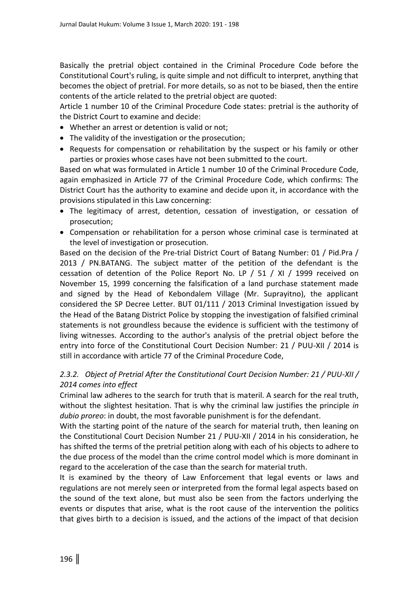Basically the pretrial object contained in the Criminal Procedure Code before the Constitutional Court's ruling, is quite simple and not difficult to interpret, anything that becomes the object of pretrial. For more details, so as not to be biased, then the entire contents of the article related to the pretrial object are quoted:

Article 1 number 10 of the Criminal Procedure Code states: pretrial is the authority of the District Court to examine and decide:

- Whether an arrest or detention is valid or not;
- The validity of the investigation or the prosecution;
- Requests for compensation or rehabilitation by the suspect or his family or other parties or proxies whose cases have not been submitted to the court.

Based on what was formulated in Article 1 number 10 of the Criminal Procedure Code, again emphasized in Article 77 of the Criminal Procedure Code, which confirms: The District Court has the authority to examine and decide upon it, in accordance with the provisions stipulated in this Law concerning:

- The legitimacy of arrest, detention, cessation of investigation, or cessation of prosecution;
- Compensation or rehabilitation for a person whose criminal case is terminated at the level of investigation or prosecution.

Based on the decision of the Pre-trial District Court of Batang Number: 01 / Pid.Pra / 2013 / PN.BATANG. The subject matter of the petition of the defendant is the cessation of detention of the Police Report No. LP / 51 / XI / 1999 received on November 15, 1999 concerning the falsification of a land purchase statement made and signed by the Head of Kebondalem Village (Mr. Suprayitno), the applicant considered the SP Decree Letter. BUT 01/111 / 2013 Criminal Investigation issued by the Head of the Batang District Police by stopping the investigation of falsified criminal statements is not groundless because the evidence is sufficient with the testimony of living witnesses. According to the author's analysis of the pretrial object before the entry into force of the Constitutional Court Decision Number: 21 / PUU-XII / 2014 is still in accordance with article 77 of the Criminal Procedure Code,

## *2.3.2. Object of Pretrial After the Constitutional Court Decision Number: 21 / PUU-XII / 2014 comes into effect*

Criminal law adheres to the search for truth that is materil. A search for the real truth, without the slightest hesitation. That is why the criminal law justifies the principle *in dubio proreo*: in doubt, the most favorable punishment is for the defendant.

With the starting point of the nature of the search for material truth, then leaning on the Constitutional Court Decision Number 21 / PUU-XII / 2014 in his consideration, he has shifted the terms of the pretrial petition along with each of his objects to adhere to the due process of the model than the crime control model which is more dominant in regard to the acceleration of the case than the search for material truth.

It is examined by the theory of Law Enforcement that legal events or laws and regulations are not merely seen or interpreted from the formal legal aspects based on the sound of the text alone, but must also be seen from the factors underlying the events or disputes that arise, what is the root cause of the intervention the politics that gives birth to a decision is issued, and the actions of the impact of that decision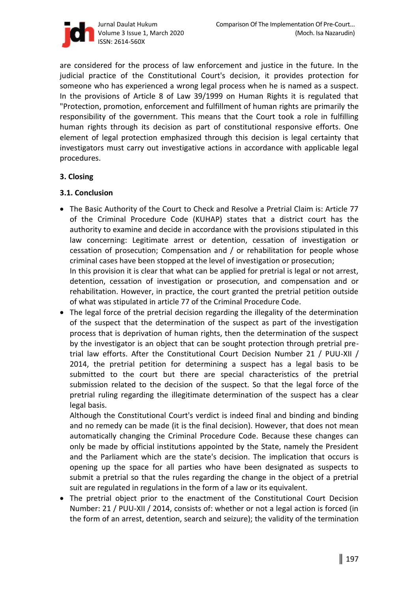

are considered for the process of law enforcement and justice in the future. In the judicial practice of the Constitutional Court's decision, it provides protection for someone who has experienced a wrong legal process when he is named as a suspect. In the provisions of Article 8 of Law 39/1999 on Human Rights it is regulated that "Protection, promotion, enforcement and fulfillment of human rights are primarily the responsibility of the government. This means that the Court took a role in fulfilling human rights through its decision as part of constitutional responsive efforts. One element of legal protection emphasized through this decision is legal certainty that investigators must carry out investigative actions in accordance with applicable legal procedures.

### **3. Closing**

### **3.1. Conclusion**

• The Basic Authority of the Court to Check and Resolve a Pretrial Claim is: Article 77 of the Criminal Procedure Code (KUHAP) states that a district court has the authority to examine and decide in accordance with the provisions stipulated in this law concerning: Legitimate arrest or detention, cessation of investigation or cessation of prosecution; Compensation and / or rehabilitation for people whose criminal cases have been stopped at the level of investigation or prosecution; In this provision it is clear that what can be applied for pretrial is legal or not arrest, detention, cessation of investigation or prosecution, and compensation and or

rehabilitation. However, in practice, the court granted the pretrial petition outside of what was stipulated in article 77 of the Criminal Procedure Code.

• The legal force of the pretrial decision regarding the illegality of the determination of the suspect that the determination of the suspect as part of the investigation process that is deprivation of human rights, then the determination of the suspect by the investigator is an object that can be sought protection through pretrial pretrial law efforts. After the Constitutional Court Decision Number 21 / PUU-XII / 2014, the pretrial petition for determining a suspect has a legal basis to be submitted to the court but there are special characteristics of the pretrial submission related to the decision of the suspect. So that the legal force of the pretrial ruling regarding the illegitimate determination of the suspect has a clear legal basis.

Although the Constitutional Court's verdict is indeed final and binding and binding and no remedy can be made (it is the final decision). However, that does not mean automatically changing the Criminal Procedure Code. Because these changes can only be made by official institutions appointed by the State, namely the President and the Parliament which are the state's decision. The implication that occurs is opening up the space for all parties who have been designated as suspects to submit a pretrial so that the rules regarding the change in the object of a pretrial suit are regulated in regulations in the form of a law or its equivalent.

• The pretrial object prior to the enactment of the Constitutional Court Decision Number: 21 / PUU-XII / 2014, consists of: whether or not a legal action is forced (in the form of an arrest, detention, search and seizure); the validity of the termination